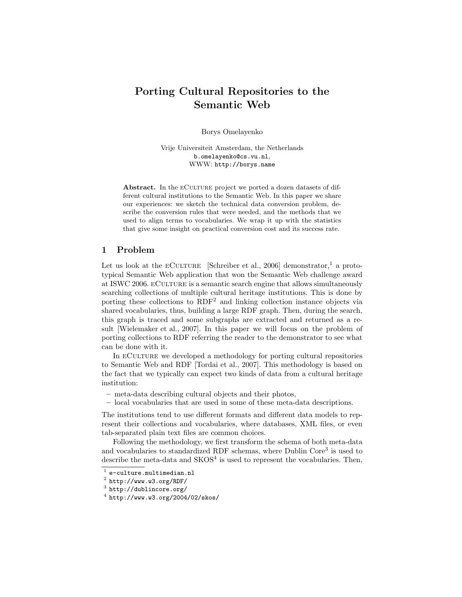# Porting Cultural Repositories to the Semantic Web

Borys Omelayenko

Vrije Universiteit Amsterdam, the Netherlands b.omelayenko@cs.vu.nl, WWW: http://borys.name

Abstract. In the ECULTURE project we ported a dozen datasets of different cultural institutions to the Semantic Web. In this paper we share our experiences: we sketch the technical data conversion problem, describe the conversion rules that were needed, and the methods that we used to align terms to vocabularies. We wrap it up with the statistics that give some insight on practical conversion cost and its success rate.

## 1 Problem

Let us look at the ECULTURE [Schreiber et al., 2006] demonstrator,<sup>1</sup> a prototypical Semantic Web application that won the Semantic Web challenge award at ISWC 2006. eCulture is a semantic search engine that allows simultaneously searching collections of multiple cultural heritage institutions. This is done by porting these collections to RDF<sup>2</sup> and linking collection instance objects via shared vocabularies, thus, building a large RDF graph. Then, during the search, this graph is traced and some subgraphs are extracted and returned as a result [Wielemaker et al., 2007]. In this paper we will focus on the problem of porting collections to RDF referring the reader to the demonstrator to see what can be done with it.

In eCulture we developed a methodology for porting cultural repositories to Semantic Web and RDF [Tordai et al., 2007]. This methodology is based on the fact that we typically can expect two kinds of data from a cultural heritage institution:

- meta-data describing cultural objects and their photos,
- local vocabularies that are used in some of these meta-data descriptions.

The institutions tend to use different formats and different data models to represent their collections and vocabularies, where databases, XML files, or even tab-separated plain text files are common choices.

Following the methodology, we first transform the schema of both meta-data and vocabularies to standardized RDF schemas, where Dublin Core<sup>3</sup> is used to describe the meta-data and  $SKOS<sup>4</sup>$  is used to represent the vocabularies. Then,

 $^{\rm 1}$ e-culture.multimedian.nl

 $^2$  http://www.w3.org/RDF/

 $^3$  http://dublincore.org/

 $^4$  http://www.w3.org/2004/02/skos/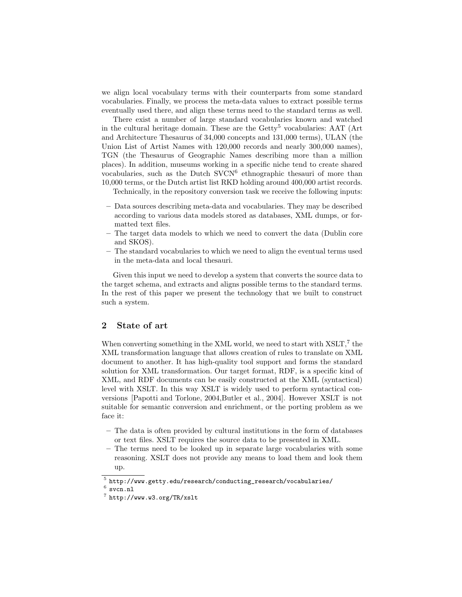we align local vocabulary terms with their counterparts from some standard vocabularies. Finally, we process the meta-data values to extract possible terms eventually used there, and align these terms need to the standard terms as well.

There exist a number of large standard vocabularies known and watched in the cultural heritage domain. These are the  $Getty<sup>5</sup>$  vocabularies: AAT (Art and Architecture Thesaurus of 34,000 concepts and 131,000 terms), ULAN (the Union List of Artist Names with 120,000 records and nearly 300,000 names), TGN (the Thesaurus of Geographic Names describing more than a million places). In addition, museums working in a specific niche tend to create shared vocabularies, such as the Dutch SVCN<sup>6</sup> ethnographic thesauri of more than 10,000 terms, or the Dutch artist list RKD holding around 400,000 artist records.

Technically, in the repository conversion task we receive the following inputs:

- Data sources describing meta-data and vocabularies. They may be described according to various data models stored as databases, XML dumps, or formatted text files.
- The target data models to which we need to convert the data (Dublin core and SKOS).
- The standard vocabularies to which we need to align the eventual terms used in the meta-data and local thesauri.

Given this input we need to develop a system that converts the source data to the target schema, and extracts and aligns possible terms to the standard terms. In the rest of this paper we present the technology that we built to construct such a system.

## 2 State of art

When converting something in the XML world, we need to start with XSLT,<sup>7</sup> the XML transformation language that allows creation of rules to translate on XML document to another. It has high-quality tool support and forms the standard solution for XML transformation. Our target format, RDF, is a specific kind of XML, and RDF documents can be easily constructed at the XML (syntactical) level with XSLT. In this way XSLT is widely used to perform syntactical conversions [Papotti and Torlone, 2004,Butler et al., 2004]. However XSLT is not suitable for semantic conversion and enrichment, or the porting problem as we face it:

- The data is often provided by cultural institutions in the form of databases or text files. XSLT requires the source data to be presented in XML.
- The terms need to be looked up in separate large vocabularies with some reasoning. XSLT does not provide any means to load them and look them up.

 $^5$ http://www.getty.edu/research/conducting\_research/vocabularies/

 $^6$  svcn.nl

<sup>7</sup> http://www.w3.org/TR/xslt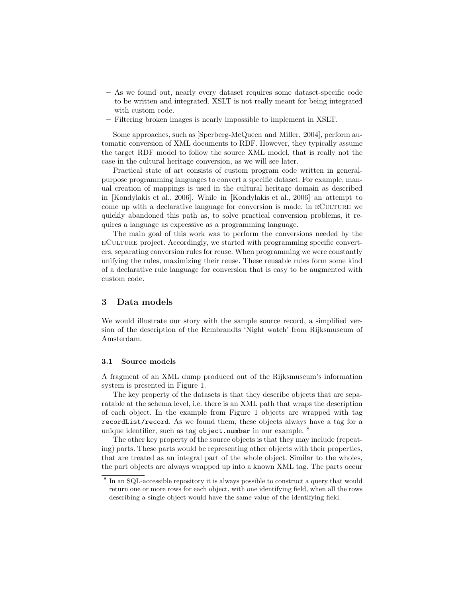- As we found out, nearly every dataset requires some dataset-specific code to be written and integrated. XSLT is not really meant for being integrated with custom code.
- Filtering broken images is nearly impossible to implement in XSLT.

Some approaches, such as [Sperberg-McQueen and Miller, 2004], perform automatic conversion of XML documents to RDF. However, they typically assume the target RDF model to follow the source XML model, that is really not the case in the cultural heritage conversion, as we will see later.

Practical state of art consists of custom program code written in generalpurpose programming languages to convert a specific dataset. For example, manual creation of mappings is used in the cultural heritage domain as described in [Kondylakis et al., 2006]. While in [Kondylakis et al., 2006] an attempt to come up with a declarative language for conversion is made, in ECULTURE we quickly abandoned this path as, to solve practical conversion problems, it requires a language as expressive as a programming language.

The main goal of this work was to perform the conversions needed by the eCulture project. Accordingly, we started with programming specific converters, separating conversion rules for reuse. When programming we were constantly unifying the rules, maximizing their reuse. These reusable rules form some kind of a declarative rule language for conversion that is easy to be augmented with custom code.

## 3 Data models

We would illustrate our story with the sample source record, a simplified version of the description of the Rembrandts 'Night watch' from Rijksmuseum of Amsterdam.

#### 3.1 Source models

A fragment of an XML dump produced out of the Rijksmuseum's information system is presented in Figure 1.

The key property of the datasets is that they describe objects that are separatable at the schema level, i.e. there is an XML path that wraps the description of each object. In the example from Figure 1 objects are wrapped with tag recordList/record. As we found them, these objects always have a tag for a unique identifier, such as tag object.number in our example. <sup>8</sup>

The other key property of the source objects is that they may include (repeating) parts. These parts would be representing other objects with their properties, that are treated as an integral part of the whole object. Similar to the wholes, the part objects are always wrapped up into a known XML tag. The parts occur

<sup>&</sup>lt;sup>8</sup> In an SQL-accessible repository it is always possible to construct a query that would return one or more rows for each object, with one identifying field, when all the rows describing a single object would have the same value of the identifying field.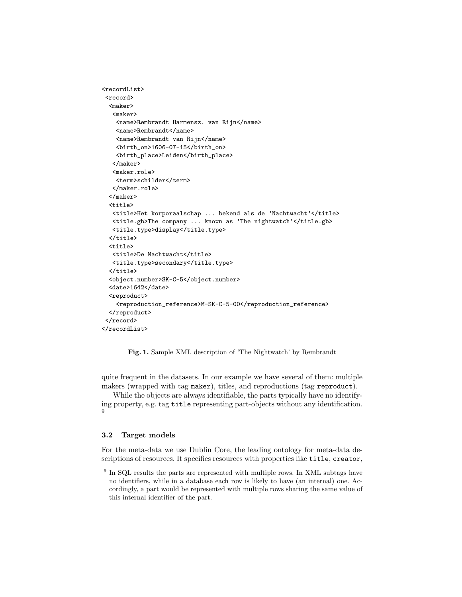```
<recordList>
 <record>
  <maker>
   <maker>
    <name>Rembrandt Harmensz. van Rijn</name>
    <name>Rembrandt</name>
    <name>Rembrandt van Rijn</name>
    <birth_on>1606-07-15</birth_on>
    <birth_place>Leiden</birth_place>
   </maker>
   <maker.role>
    <term>schilder</term>
   </maker.role>
  </maker>
  \langle \text{title} \rangle<title>Het korporaalschap ... bekend als de 'Nachtwacht'</title>
   <title.gb>The company ... known as 'The nightwatch'</title.gb>
   <title.type>display</title.type>
  </title>
  <title>
   <title>De Nachtwacht</title>
   <title.type>secondary</title.type>
  </title>
  <object.number>SK-C-5</object.number>
  <date>1642</date>
  <reproduct>
    <reproduction_reference>M-SK-C-5-00</reproduction_reference>
  </reproduct>
 </record>
</recordList>
```
Fig. 1. Sample XML description of 'The Nightwatch' by Rembrandt

quite frequent in the datasets. In our example we have several of them: multiple makers (wrapped with tag maker), titles, and reproductions (tag reproduct).

While the objects are always identifiable, the parts typically have no identifying property, e.g. tag title representing part-objects without any identification. 9

### 3.2 Target models

For the meta-data we use Dublin Core, the leading ontology for meta-data descriptions of resources. It specifies resources with properties like title, creator,

<sup>&</sup>lt;sup>9</sup> In SQL results the parts are represented with multiple rows. In XML subtags have no identifiers, while in a database each row is likely to have (an internal) one. Accordingly, a part would be represented with multiple rows sharing the same value of this internal identifier of the part.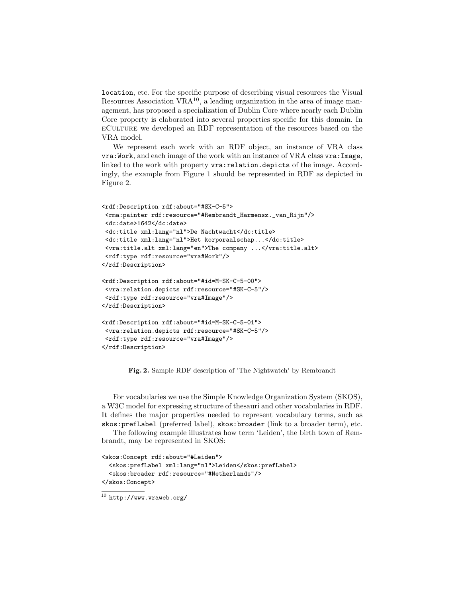location, etc. For the specific purpose of describing visual resources the Visual Resources Association  $VRA^{10}$ , a leading organization in the area of image management, has proposed a specialization of Dublin Core where nearly each Dublin Core property is elaborated into several properties specific for this domain. In eCulture we developed an RDF representation of the resources based on the VRA model.

We represent each work with an RDF object, an instance of VRA class vra:Work, and each image of the work with an instance of VRA class vra:Image, linked to the work with property vra:relation.depicts of the image. Accordingly, the example from Figure 1 should be represented in RDF as depicted in Figure 2.

```
<rdf:Description rdf:about="#SK-C-5">
<rma:painter rdf:resource="#Rembrandt_Harmensz._van_Rijn"/>
<dc:date>1642</dc:date>
<dc:title xml:lang="nl">De Nachtwacht</dc:title>
<dc:title xml:lang="nl">Het korporaalschap...</dc:title>
<vra:title.alt xml:lang="en">The company ...</vra:title.alt>
<rdf:type rdf:resource="vra#Work"/>
</rdf:Description>
<rdf:Description rdf:about="#id=M-SK-C-5-00">
<vra:relation.depicts rdf:resource="#SK-C-5"/>
<rdf:type rdf:resource="vra#Image"/>
</rdf:Description>
<rdf:Description rdf:about="#id=M-SK-C-5-01">
<vra:relation.depicts rdf:resource="#SK-C-5"/>
<rdf:type rdf:resource="vra#Image"/>
</rdf:Description>
```
Fig. 2. Sample RDF description of 'The Nightwatch' by Rembrandt

For vocabularies we use the Simple Knowledge Organization System (SKOS), a W3C model for expressing structure of thesauri and other vocabularies in RDF. It defines the major properties needed to represent vocabulary terms, such as skos:prefLabel (preferred label), skos:broader (link to a broader term), etc.

The following example illustrates how term 'Leiden', the birth town of Rembrandt, may be represented in SKOS:

```
<skos:Concept rdf:about="#Leiden">
  <skos:prefLabel xml:lang="nl">Leiden</skos:prefLabel>
  <skos:broader rdf:resource="#Netherlands"/>
</skos:Concept>
```
 $\overline{10}$  http://www.vraweb.org/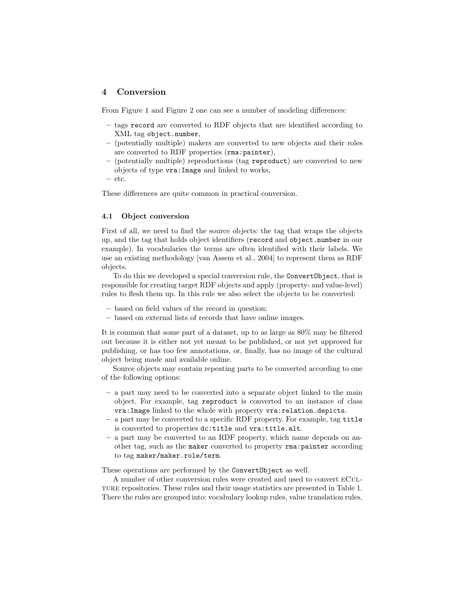## 4 Conversion

From Figure 1 and Figure 2 one can see a number of modeling differences:

- tags record are converted to RDF objects that are identified according to XML tag object.number,
- (potentially multiple) makers are converted to new objects and their roles are converted to RDF properties (rma:painter),
- (potentially multiple) reproductions (tag reproduct) are converted to new objects of type vra:Image and linked to works,
- etc.

These differences are quite common in practical conversion.

#### 4.1 Object conversion

First of all, we need to find the source objects: the tag that wraps the objects up, and the tag that holds object identifiers (record and object.number in our example). In vocabularies the terms are often identified with their labels. We use an existing methodology [van Assem et al., 2004] to represent them as RDF objects.

To do this we developed a special conversion rule, the ConvertObject, that is responsible for creating target RDF objects and apply (property- and value-level) rules to flesh them up. In this rule we also select the objects to be converted:

- based on field values of the record in question;
- based on external lists of records that have online images.

It is common that some part of a dataset, up to as large as 80% may be filtered out because it is either not yet meant to be published, or not yet approved for publishing, or has too few annotations, or, finally, has no image of the cultural object being made and available online.

Source objects may contain repeating parts to be converted according to one of the following options:

- a part may need to be converted into a separate object linked to the main object. For example, tag reproduct is converted to an instance of class vra:Image linked to the whole with property vra:relation.depicts.
- a part may be converted to a specific RDF property. For example, tag title is converted to properties dc:title and vra:title.alt.
- a part may be converted to an RDF property, which name depends on another tag, such as the maker converted to property rma:painter according to tag maker/maker.role/term.

These operations are performed by the ConvertObject as well.

A number of other conversion rules were created and used to convert eCulture repositories. These rules and their usage statistics are presented in Table 1. There the rules are grouped into: vocabulary lookup rules, value translation rules,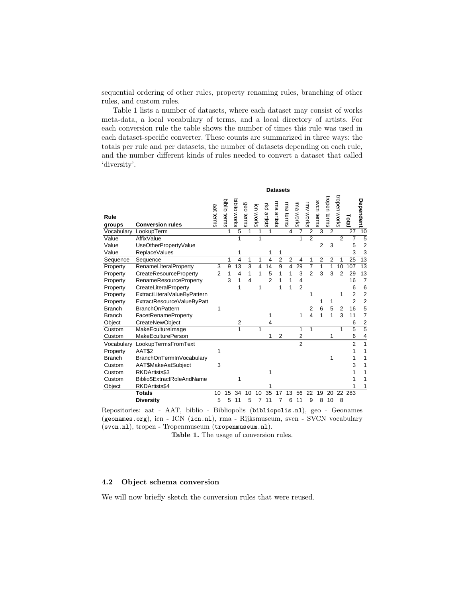sequential ordering of other rules, property renaming rules, branching of other rules, and custom rules.

Table 1 lists a number of datasets, where each dataset may consist of works meta-data, a local vocabulary of terms, and a local directory of artists. For each conversion rule the table shows the number of times this rule was used in each dataset-specific converter. These counts are summarized in three ways: the totals per rule and per datasets, the number of datasets depending on each rule, and the number different kinds of rules needed to convert a dataset that called 'diversity'.

|                | <b>Datasets</b>              |                |              |                |           |              |                         |                |                |                |                |                |                |                |                 |                                   |
|----------------|------------------------------|----------------|--------------|----------------|-----------|--------------|-------------------------|----------------|----------------|----------------|----------------|----------------|----------------|----------------|-----------------|-----------------------------------|
| Rule<br>groups | <b>Conversion rules</b>      | aat terms      | biblio terms | biblio works   | geo terms | icn works    | rkd artists             | ma artists     | rma terms      | rma works      | mv works       | svcn terms     | tropen terms   | tropen works   | Total           | Dependent $ \frac{\circ}{\circ} $ |
| Vocabulary     | LookupTerm                   |                | 1            | $\overline{5}$ | 1         | $\mathbf{1}$ | 1                       |                | $\overline{4}$ | $\overline{7}$ | $\overline{2}$ | $\overline{3}$ | $\overline{2}$ |                | $\overline{27}$ |                                   |
| Value          | AffixValue                   |                |              | 1              |           | 1            |                         |                |                |                | $\overline{2}$ |                |                | $\overline{2}$ | $\overline{7}$  | $\overline{5}$                    |
| Value          | UseOtherPropertyValue        |                |              |                |           |              |                         |                |                |                |                | $\overline{2}$ | 3              |                | 5               | $\overline{c}$                    |
| Value          | <b>ReplaceValues</b>         |                |              | 1              |           |              |                         | 1              |                |                |                |                |                |                | 3               | $\frac{3}{13}$                    |
| Sequence       | Sequence                     |                | 1            | $\overline{4}$ | 1         | 1            | $\overline{\mathbf{4}}$ | $\overline{2}$ | $\overline{2}$ | 4              | 1              | $\overline{2}$ | $\overline{2}$ | 1              | 25              |                                   |
| Property       | RenameLiteralProperty        | 3              | 9            | 13             | 3         | 4            | 14                      | 9              | 4              | 29             | $\overline{7}$ | 1              | 1              | 10             | 107             | 13                                |
| Property       | CreateResourceProperty       | $\overline{2}$ | 1            | 4              | 1         | 1            | 5                       | 1              | 1              | 3              | $\overline{2}$ | 3              | 3              | 2              | 29              | 13                                |
| Property       | RenameResourceProperty       |                | 3            | 1              | 4         |              | $\overline{2}$          | 1              | 1              | $\overline{4}$ |                |                |                |                | 16              | 7                                 |
| Property       | CreateLiteralProperty        |                |              | 1              |           | 1            |                         | 1              | 1              | $\overline{2}$ |                |                |                |                | 6               | 6                                 |
| Property       | ExtractLiteralValueByPattern |                |              |                |           |              |                         |                |                |                | 1              |                |                | 1              | $\overline{2}$  | $\overline{2}$                    |
| Property       | ExtractResourceValueByPatt   |                |              |                |           |              |                         |                |                |                |                | 1              | 1              |                | $\overline{2}$  | $\frac{2}{5}$                     |
| <b>Branch</b>  | <b>BranchOnPattern</b>       | 1              |              |                |           |              |                         |                |                |                | $\overline{2}$ | 6              | $\overline{5}$ | $\overline{2}$ | 16              |                                   |
| <b>Branch</b>  | FacetRenameProperty          |                |              |                |           |              | 1                       |                |                | 1              | 4              | 1              | 1              | 3              | 11              | 7                                 |
| Object         | CreateNewObject              |                |              | $\overline{2}$ |           |              | 4                       |                |                |                |                |                |                |                | 6               | $\frac{2}{5}$                     |
| Custom         | MakeEcultureImage            |                |              | 1              |           | 1            |                         |                |                | 1              | 1              |                |                | 1              | $\overline{5}$  |                                   |
| Custom         | <b>MakeEculturePerson</b>    |                |              |                |           |              |                         | $\overline{2}$ |                | $\overline{2}$ |                |                | 1              |                | 6               | 4                                 |
| Vocabulary     | LookupTermsFromText          |                |              |                |           |              |                         |                |                | $\overline{2}$ |                |                |                |                | $\overline{2}$  | 1                                 |
| Property       | <b>AAT\$2</b>                | 1              |              |                |           |              |                         |                |                |                |                |                |                |                | 1               | 1                                 |
| <b>Branch</b>  | BranchOnTermInVocabulary     |                |              |                |           |              |                         |                |                |                |                |                | 1              |                |                 | 1                                 |
| Custom         | AAT\$MakeAatSubject          | 3              |              |                |           |              |                         |                |                |                |                |                |                |                | 3               | 1                                 |
| Custom         | RKDArtists\$3                |                |              |                |           |              | 1                       |                |                |                |                |                |                |                |                 | 1                                 |
| Custom         | Biblio\$ExtractRoleAndName   |                |              | 1              |           |              |                         |                |                |                |                |                |                |                |                 | 1                                 |
| Object         | RKDArtists\$4                |                |              |                |           |              | 1                       |                |                |                |                |                |                |                |                 | 1                                 |
|                | <b>Totals</b>                | 10             | 15           | 34             | 10        | 10           | 35                      |                | 13             | 56             | 22             | 19             | 20             |                | 22 283          |                                   |
|                | <b>Diversity</b>             | 5              | 5            | 11             | 5         | 7            | 11                      | 7              | 6              | 11             | 9              | 8              | 10             | 8              |                 |                                   |

283 Repositories: aat - AAT, biblio - Bibliopolis (bibliopolis.nl), geo - Geonames (geonames.org), icn - ICN (icn.nl), rma - Rijksmuseum, svcn - SVCN vocabulary (svcn.nl), tropen - Tropenmuseum (tropenmuseum.nl).

Table 1. The usage of conversion rules.

## 4.2 Object schema conversion

We will now briefly sketch the conversion rules that were reused.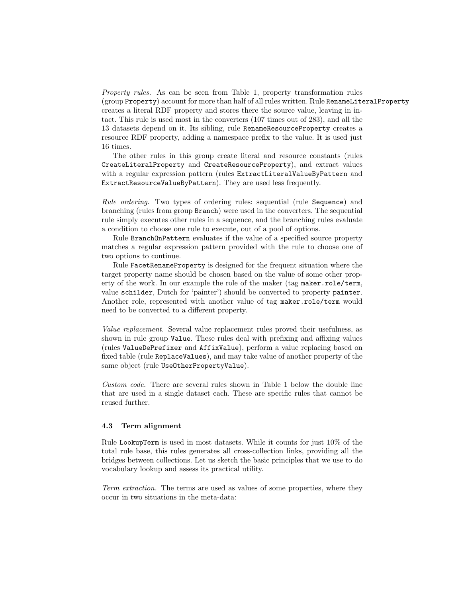Property rules. As can be seen from Table 1, property transformation rules (group Property) account for more than half of all rules written. Rule RenameLiteralProperty creates a literal RDF property and stores there the source value, leaving in intact. This rule is used most in the converters (107 times out of 283), and all the 13 datasets depend on it. Its sibling, rule RenameResourceProperty creates a resource RDF property, adding a namespace prefix to the value. It is used just 16 times.

The other rules in this group create literal and resource constants (rules CreateLiteralProperty and CreateResourceProperty), and extract values with a regular expression pattern (rules ExtractLiteralValueByPattern and ExtractResourceValueByPattern). They are used less frequently.

Rule ordering. Two types of ordering rules: sequential (rule Sequence) and branching (rules from group Branch) were used in the converters. The sequential rule simply executes other rules in a sequence, and the branching rules evaluate a condition to choose one rule to execute, out of a pool of options.

Rule BranchOnPattern evaluates if the value of a specified source property matches a regular expression pattern provided with the rule to choose one of two options to continue.

Rule FacetRenameProperty is designed for the frequent situation where the target property name should be chosen based on the value of some other property of the work. In our example the role of the maker (tag maker.role/term, value schilder, Dutch for 'painter') should be converted to property painter. Another role, represented with another value of tag maker.role/term would need to be converted to a different property.

Value replacement. Several value replacement rules proved their usefulness, as shown in rule group Value. These rules deal with prefixing and affixing values (rules ValueDePrefixer and AffixValue), perform a value replacing based on fixed table (rule ReplaceValues), and may take value of another property of the same object (rule UseOtherPropertyValue).

Custom code. There are several rules shown in Table 1 below the double line that are used in a single dataset each. These are specific rules that cannot be reused further.

## 4.3 Term alignment

Rule LookupTerm is used in most datasets. While it counts for just 10% of the total rule base, this rules generates all cross-collection links, providing all the bridges between collections. Let us sketch the basic principles that we use to do vocabulary lookup and assess its practical utility.

Term extraction. The terms are used as values of some properties, where they occur in two situations in the meta-data: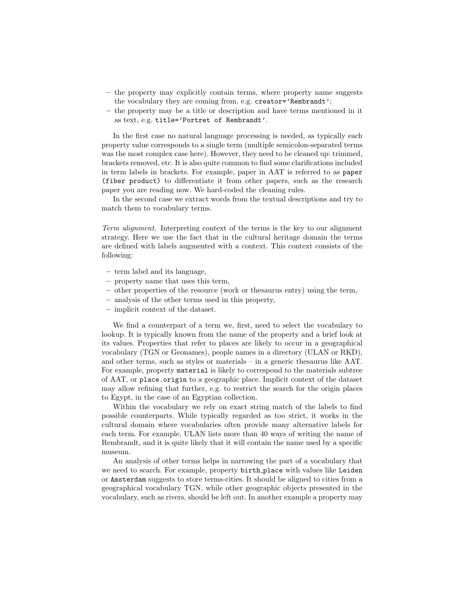- the property may explicitly contain terms, where property name suggests the vocabulary they are coming from, e.g. creator='Rembrandt';
- the property may be a title or description and have terms mentioned in it as text, e.g. title='Portret of Rembrandt'.

In the first case no natural language processing is needed, as typically each property value corresponds to a single term (multiple semicolon-separated terms was the most complex case here). However, they need to be cleaned up: trimmed, brackets removed, etc. It is also quite common to find some clarifications included in term labels in brackets. For example, paper in AAT is referred to as paper (fiber product) to differentiate it from other papers, such as the research paper you are reading now. We hard-coded the cleaning rules.

In the second case we extract words from the textual descriptions and try to match them to vocabulary terms.

Term alignment. Interpreting context of the terms is the key to our alignment strategy. Here we use the fact that in the cultural heritage domain the terms are defined with labels augmented with a context. This context consists of the following:

- term label and its language,
- property name that uses this term,
- other properties of the resource (work or thesaurus entry) using the term,
- analysis of the other terms used in this property,
- implicit context of the dataset.

We find a counterpart of a term we, first, need to select the vocabulary to lookup. It is typically known from the name of the property and a brief look at its values. Properties that refer to places are likely to occur in a geographical vocabulary (TGN or Geonames), people names in a directory (ULAN or RKD), and other terms, such as styles or materials – in a generic thesaurus like AAT. For example, property material is likely to correspond to the materials subtree of AAT, or place.origin to a geographic place. Implicit context of the dataset may allow refining that further, e.g. to restrict the search for the origin places to Egypt, in the case of an Egyptian collection.

Within the vocabulary we rely on exact string match of the labels to find possible counterparts. While typically regarded as too strict, it works in the cultural domain where vocabularies often provide many alternative labels for each term. For example, ULAN lists more than 40 ways of writing the name of Rembrandt, and it is quite likely that it will contain the name used by a specific museum.

An analysis of other terms helps in narrowing the part of a vocabulary that we need to search. For example, property birth place with values like Leiden or Amsterdam suggests to store terms-cities. It should be aligned to cities from a geographical vocabulary TGN, while other geographic objects presented in the vocabulary, such as rivers, should be left out. In another example a property may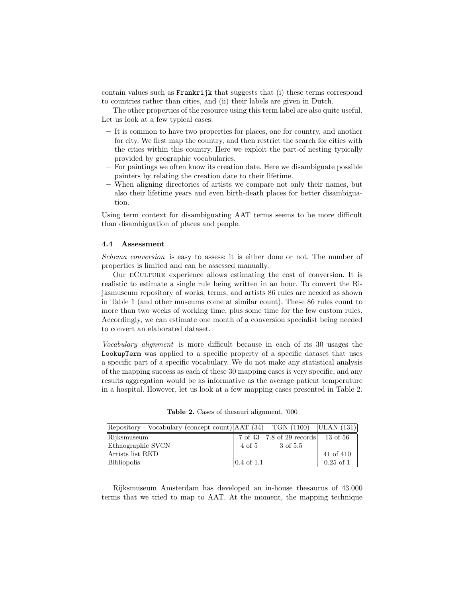contain values such as Frankrijk that suggests that (i) these terms correspond to countries rather than cities, and (ii) their labels are given in Dutch.

The other properties of the resource using this term label are also quite useful. Let us look at a few typical cases:

- It is common to have two properties for places, one for country, and another for city. We first map the country, and then restrict the search for cities with the cities within this country. Here we exploit the part-of nesting typically provided by geographic vocabularies.
- For paintings we often know its creation date. Here we disambiguate possible painters by relating the creation date to their lifetime.
- When aligning directories of artists we compare not only their names, but also their lifetime years and even birth-death places for better disambiguation.

Using term context for disambiguating AAT terms seems to be more difficult than disambiguation of places and people.

#### 4.4 Assessment

Schema conversion is easy to assess: it is either done or not. The number of properties is limited and can be assessed manually.

Our eCulture experience allows estimating the cost of conversion. It is realistic to estimate a single rule being written in an hour. To convert the Rijksmuseum repository of works, terms, and artists 86 rules are needed as shown in Table 1 (and other museums come at similar count). These 86 rules count to more than two weeks of working time, plus some time for the few custom rules. Accordingly, we can estimate one month of a conversion specialist being needed to convert an elaborated dataset.

Vocabulary alignment is more difficult because in each of its 30 usages the LookupTerm was applied to a specific property of a specific dataset that uses a specific part of a specific vocabulary. We do not make any statistical analysis of the mapping success as each of these 30 mapping cases is very specific, and any results aggregation would be as informative as the average patient temperature in a hospital. However, let us look at a few mapping cases presented in Table 2.

| Repository - Vocabulary (concept count) AAT (34) TGN (1100) ULAN (131) |                       |                           |             |
|------------------------------------------------------------------------|-----------------------|---------------------------|-------------|
| Rijksmuseum                                                            |                       | 7 of 43 7.8 of 29 records | 13 of 56    |
| Ethnographic SVCN                                                      | 4 of 5                | 3 of 5.5                  |             |
| Artists list RKD                                                       |                       |                           | 41 of 410   |
| Bibliopolis                                                            | $0.4 \text{ of } 1.1$ |                           | $0.25$ of 1 |

Table 2. Cases of thesauri alignment, '000

Rijksmuseum Amsterdam has developed an in-house thesaurus of 43.000 terms that we tried to map to AAT. At the moment, the mapping technique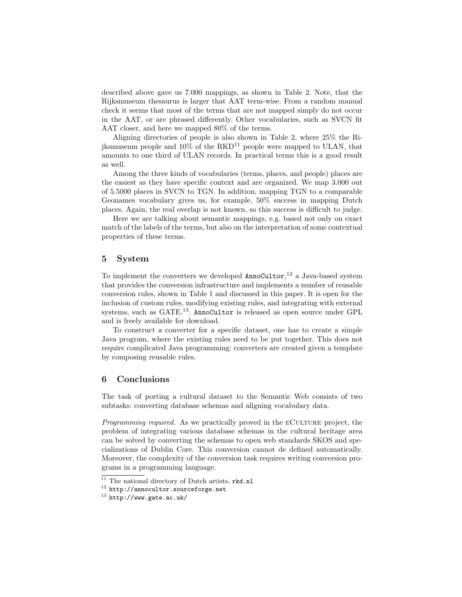described above gave us 7.000 mappings, as shown in Table 2. Note, that the Rijksmuseum thesaurus is larger that AAT term-wise. From a random manual check it seems that most of the terms that are not mapped simply do not occur in the AAT, or are phrased differently. Other vocabularies, such as SVCN fit AAT closer, and here we mapped 80% of the terms.

Aligning directories of people is also shown in Table 2, where 25% the Riiksmuseum people and  $10\%$  of the  $RKD^{11}$  people were mapped to ULAN, that amounts to one third of ULAN records. In practical terms this is a good result as well.

Among the three kinds of vocabularies (terms, places, and people) places are the easiest as they have specific context and are organized. We map 3.000 out of 5.5000 places in SVCN to TGN. In addition, mapping TGN to a comparable Geonames vocabulary gives us, for example, 50% success in mapping Dutch places. Again, the real overlap is not known, so this success is difficult to judge.

Here we are talking about semantic mappings, e.g. based not only on exact match of the labels of the terms, but also on the interpretation of some contextual properties of these terms.

## 5 System

To implement the converters we developed  $\text{AnnoCultor},^{12}$  a Java-based system that provides the conversion infrastructure and implements a number of reusable conversion rules, shown in Table 1 and discussed in this paper. It is open for the inclusion of custom rules, modifying existing rules, and integrating with external systems, such as GATE.<sup>13</sup>. AnnoCultor is released as open source under GPL and is freely available for download.

To construct a converter for a specific dataset, one has to create a simple Java program, where the existing rules need to be put together. This does not require complicated Java programming: converters are created given a template by composing reusable rules.

## 6 Conclusions

The task of porting a cultural dataset to the Semantic Web consists of two subtasks: converting database schemas and aligning vocabulary data.

Programming required. As we practically proved in the ECULTURE project, the problem of integrating various database schemas in the cultural heritage area can be solved by converting the schemas to open web standards SKOS and specializations of Dublin Core. This conversion cannot de defined automatically. Moreover, the complexity of the conversion task requires writing conversion programs in a programming language.

 $\overline{11}$  The national directory of Dutch artists, rkd.nl

 $12$  http://annocultor.sourceforge.net

<sup>13</sup> http://www.gate.ac.uk/